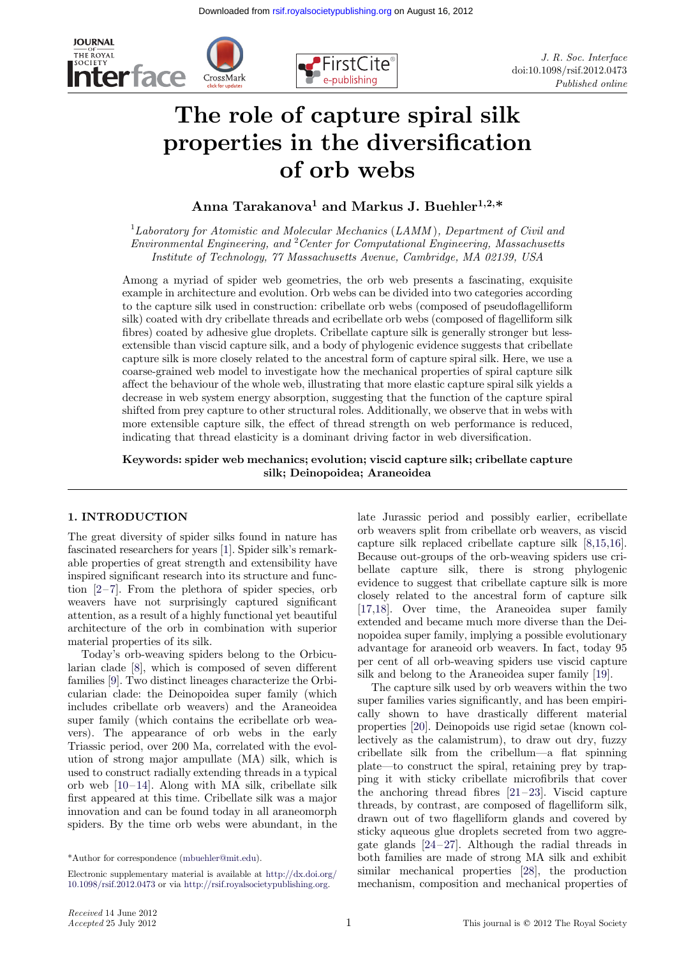

J. R. Soc. Interface doi:10.1098/rsif.2012.0473 Published online

# The role of capture spiral silk properties in the diversification of orb webs

## Anna Tarakanova<sup>1</sup> and Markus J. Buehler<sup>1,2,\*</sup>

 ${}^{1}$ Laboratory for Atomistic and Molecular Mechanics (LAMM), Department of Civil and Environmental Engineering, and <sup>2</sup> Center for Computational Engineering, Massachusetts Institute of Technology, 77 Massachusetts Avenue, Cambridge, MA 02139, USA

Among a myriad of spider web geometries, the orb web presents a fascinating, exquisite example in architecture and evolution. Orb webs can be divided into two categories according to the capture silk used in construction: cribellate orb webs (composed of pseudoflagelliform silk) coated with dry cribellate threads and ecribellate orb webs (composed of flagelliform silk fibres) coated by adhesive glue droplets. Cribellate capture silk is generally stronger but lessextensible than viscid capture silk, and a body of phylogenic evidence suggests that cribellate capture silk is more closely related to the ancestral form of capture spiral silk. Here, we use a coarse-grained web model to investigate how the mechanical properties of spiral capture silk affect the behaviour of the whole web, illustrating that more elastic capture spiral silk yields a decrease in web system energy absorption, suggesting that the function of the capture spiral shifted from prey capture to other structural roles. Additionally, we observe that in webs with more extensible capture silk, the effect of thread strength on web performance is reduced, indicating that thread elasticity is a dominant driving factor in web diversification.

Keywords: spider web mechanics; evolution; viscid capture silk; cribellate capture silk; Deinopoidea; Araneoidea

## 1. INTRODUCTION

The great diversity of spider silks found in nature has fascinated researchers for years [\[1](#page-7-0)]. Spider silk's remarkable properties of great strength and extensibility have inspired significant research into its structure and function [[2](#page-7-0)–[7\]](#page-7-0). From the plethora of spider species, orb weavers have not surprisingly captured significant attention, as a result of a highly functional yet beautiful architecture of the orb in combination with superior material properties of its silk.

Today's orb-weaving spiders belong to the Orbicularian clade [\[8](#page-7-0)], which is composed of seven different families [\[9\]](#page-7-0). Two distinct lineages characterize the Orbicularian clade: the Deinopoidea super family (which includes cribellate orb weavers) and the Araneoidea super family (which contains the ecribellate orb weavers). The appearance of orb webs in the early Triassic period, over 200 Ma, correlated with the evolution of strong major ampullate (MA) silk, which is used to construct radially extending threads in a typical orb web [[10](#page-7-0)–[14](#page-7-0)]. Along with MA silk, cribellate silk first appeared at this time. Cribellate silk was a major innovation and can be found today in all araneomorph spiders. By the time orb webs were abundant, in the

late Jurassic period and possibly earlier, ecribellate orb weavers split from cribellate orb weavers, as viscid capture silk replaced cribellate capture silk [[8,15,16](#page-7-0)]. Because out-groups of the orb-weaving spiders use cribellate capture silk, there is strong phylogenic evidence to suggest that cribellate capture silk is more closely related to the ancestral form of capture silk [\[17](#page-7-0),[18\]](#page-8-0). Over time, the Araneoidea super family extended and became much more diverse than the Deinopoidea super family, implying a possible evolutionary advantage for araneoid orb weavers. In fact, today 95 per cent of all orb-weaving spiders use viscid capture silk and belong to the Araneoidea super family [[19\]](#page-8-0).

The capture silk used by orb weavers within the two super families varies significantly, and has been empirically shown to have drastically different material properties [[20\]](#page-8-0). Deinopoids use rigid setae (known collectively as the calamistrum), to draw out dry, fuzzy cribellate silk from the cribellum—a flat spinning plate—to construct the spiral, retaining prey by trapping it with sticky cribellate microfibrils that cover the anchoring thread fibres [\[21](#page-8-0)–[23](#page-8-0)]. Viscid capture threads, by contrast, are composed of flagelliform silk, drawn out of two flagelliform glands and covered by sticky aqueous glue droplets secreted from two aggregate glands [\[24](#page-8-0)–[27\]](#page-8-0). Although the radial threads in both families are made of strong MA silk and exhibit similar mechanical properties [\[28](#page-8-0)], the production mechanism, composition and mechanical properties of

<sup>\*</sup>Author for correspondence ([mbuehler@mit.edu](mailto:mbuehler@mit.edu)).

Electronic supplementary material is available at [http:](http://dx.doi.org/10.1098/rsif.2012.0473)//[dx.doi.org](http://dx.doi.org/10.1098/rsif.2012.0473)/ 10.1098/[rsif.2012.0473](http://dx.doi.org/10.1098/rsif.2012.0473) or via [http:](http://rsif.royalsocietypublishing.org)//[rsif.royalsocietypublishing.org](http://rsif.royalsocietypublishing.org).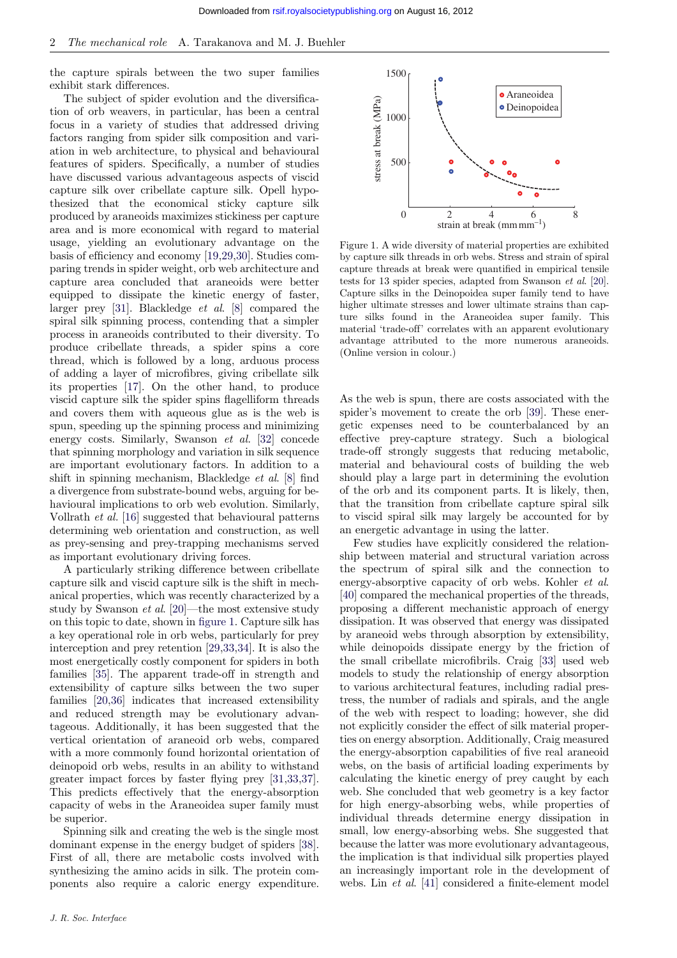<span id="page-1-0"></span>the capture spirals between the two super families exhibit stark differences.

The subject of spider evolution and the diversification of orb weavers, in particular, has been a central focus in a variety of studies that addressed driving factors ranging from spider silk composition and variation in web architecture, to physical and behavioural features of spiders. Specifically, a number of studies have discussed various advantageous aspects of viscid capture silk over cribellate capture silk. Opell hypothesized that the economical sticky capture silk produced by araneoids maximizes stickiness per capture area and is more economical with regard to material usage, yielding an evolutionary advantage on the basis of efficiency and economy [\[19](#page-8-0),[29,30\]](#page-8-0). Studies comparing trends in spider weight, orb web architecture and capture area concluded that araneoids were better equipped to dissipate the kinetic energy of faster, larger prey [\[31](#page-8-0)]. Blackledge et al. [\[8](#page-7-0)] compared the spiral silk spinning process, contending that a simpler process in araneoids contributed to their diversity. To produce cribellate threads, a spider spins a core thread, which is followed by a long, arduous process of adding a layer of microfibres, giving cribellate silk its properties [[17\]](#page-7-0). On the other hand, to produce viscid capture silk the spider spins flagelliform threads and covers them with aqueous glue as is the web is spun, speeding up the spinning process and minimizing energy costs. Similarly, Swanson et al. [[32\]](#page-8-0) concede that spinning morphology and variation in silk sequence are important evolutionary factors. In addition to a shift in spinning mechanism, Blackledge et al. [\[8](#page-7-0)] find a divergence from substrate-bound webs, arguing for behavioural implications to orb web evolution. Similarly, Vollrath et al. [[16](#page-7-0)] suggested that behavioural patterns determining web orientation and construction, as well as prey-sensing and prey-trapping mechanisms served as important evolutionary driving forces.

A particularly striking difference between cribellate capture silk and viscid capture silk is the shift in mechanical properties, which was recently characterized by a study by Swanson et al. [[20\]](#page-8-0)—the most extensive study on this topic to date, shown in figure 1. Capture silk has a key operational role in orb webs, particularly for prey interception and prey retention [[29,33](#page-8-0),[34\]](#page-8-0). It is also the most energetically costly component for spiders in both families [\[35](#page-8-0)]. The apparent trade-off in strength and extensibility of capture silks between the two super families [[20,36\]](#page-8-0) indicates that increased extensibility and reduced strength may be evolutionary advantageous. Additionally, it has been suggested that the vertical orientation of araneoid orb webs, compared with a more commonly found horizontal orientation of deinopoid orb webs, results in an ability to withstand greater impact forces by faster flying prey [[31,33,37](#page-8-0)]. This predicts effectively that the energy-absorption capacity of webs in the Araneoidea super family must be superior.

Spinning silk and creating the web is the single most dominant expense in the energy budget of spiders [\[38](#page-8-0)]. First of all, there are metabolic costs involved with synthesizing the amino acids in silk. The protein components also require a caloric energy expenditure.



Figure 1. A wide diversity of material properties are exhibited by capture silk threads in orb webs. Stress and strain of spiral capture threads at break were quantified in empirical tensile tests for 13 spider species, adapted from Swanson et al. [[20\]](#page-8-0). Capture silks in the Deinopoidea super family tend to have higher ultimate stresses and lower ultimate strains than capture silks found in the Araneoidea super family. This material 'trade-off' correlates with an apparent evolutionary advantage attributed to the more numerous araneoids. (Online version in colour.)

As the web is spun, there are costs associated with the spider's movement to create the orb [\[39](#page-8-0)]. These energetic expenses need to be counterbalanced by an effective prey-capture strategy. Such a biological trade-off strongly suggests that reducing metabolic, material and behavioural costs of building the web should play a large part in determining the evolution of the orb and its component parts. It is likely, then, that the transition from cribellate capture spiral silk to viscid spiral silk may largely be accounted for by an energetic advantage in using the latter.

Few studies have explicitly considered the relationship between material and structural variation across the spectrum of spiral silk and the connection to energy-absorptive capacity of orb webs. Kohler et al. [\[40](#page-8-0)] compared the mechanical properties of the threads, proposing a different mechanistic approach of energy dissipation. It was observed that energy was dissipated by araneoid webs through absorption by extensibility, while deinopoids dissipate energy by the friction of the small cribellate microfibrils. Craig [[33\]](#page-8-0) used web models to study the relationship of energy absorption to various architectural features, including radial prestress, the number of radials and spirals, and the angle of the web with respect to loading; however, she did not explicitly consider the effect of silk material properties on energy absorption. Additionally, Craig measured the energy-absorption capabilities of five real araneoid webs, on the basis of artificial loading experiments by calculating the kinetic energy of prey caught by each web. She concluded that web geometry is a key factor for high energy-absorbing webs, while properties of individual threads determine energy dissipation in small, low energy-absorbing webs. She suggested that because the latter was more evolutionary advantageous, the implication is that individual silk properties played an increasingly important role in the development of webs. Lin *et al.* [\[41](#page-8-0)] considered a finite-element model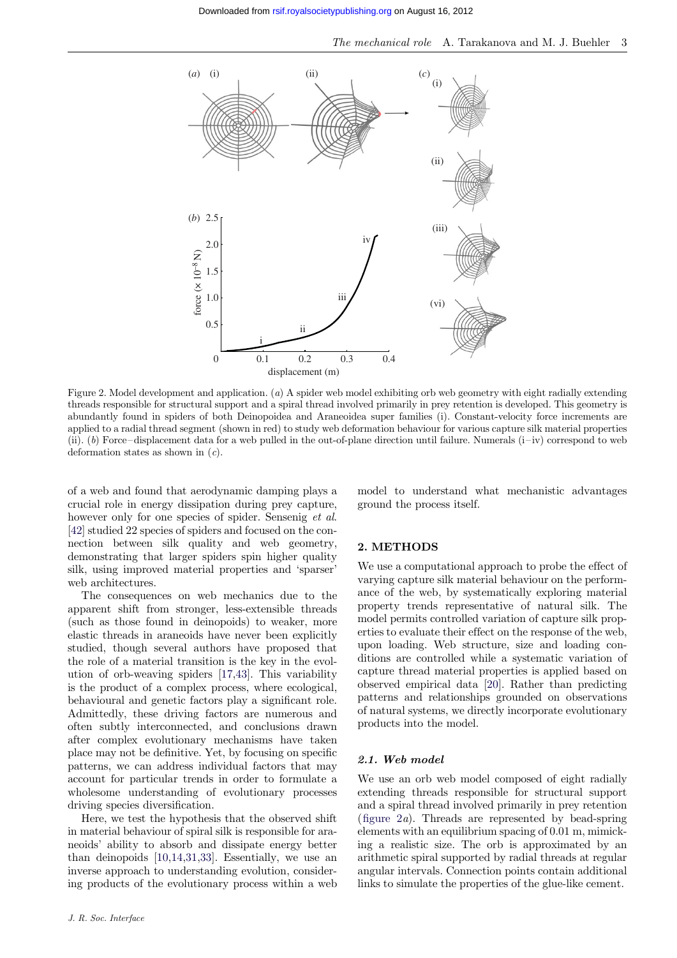<span id="page-2-0"></span>

The mechanical role A. Tarakanova and M. J. Buehler 3

Figure 2. Model development and application. (a) A spider web model exhibiting orb web geometry with eight radially extending threads responsible for structural support and a spiral thread involved primarily in prey retention is developed. This geometry is abundantly found in spiders of both Deinopoidea and Araneoidea super families (i). Constant-velocity force increments are applied to a radial thread segment (shown in red) to study web deformation behaviour for various capture silk material properties (ii).  $(b)$  Force-displacement data for a web pulled in the out-of-plane direction until failure. Numerals  $(i-iv)$  correspond to web deformation states as shown in (c).

of a web and found that aerodynamic damping plays a crucial role in energy dissipation during prey capture, however only for one species of spider. Sensenig *et al.* [\[42](#page-8-0)] studied 22 species of spiders and focused on the connection between silk quality and web geometry, demonstrating that larger spiders spin higher quality silk, using improved material properties and 'sparser' web architectures.

The consequences on web mechanics due to the apparent shift from stronger, less-extensible threads (such as those found in deinopoids) to weaker, more elastic threads in araneoids have never been explicitly studied, though several authors have proposed that the role of a material transition is the key in the evolution of orb-weaving spiders [[17](#page-7-0)[,43](#page-8-0)]. This variability is the product of a complex process, where ecological, behavioural and genetic factors play a significant role. Admittedly, these driving factors are numerous and often subtly interconnected, and conclusions drawn after complex evolutionary mechanisms have taken place may not be definitive. Yet, by focusing on specific patterns, we can address individual factors that may account for particular trends in order to formulate a wholesome understanding of evolutionary processes driving species diversification.

Here, we test the hypothesis that the observed shift in material behaviour of spiral silk is responsible for araneoids' ability to absorb and dissipate energy better than deinopoids [[10](#page-7-0),[14](#page-7-0)[,31,33](#page-8-0)]. Essentially, we use an inverse approach to understanding evolution, considering products of the evolutionary process within a web model to understand what mechanistic advantages ground the process itself.

#### 2. METHODS

We use a computational approach to probe the effect of varying capture silk material behaviour on the performance of the web, by systematically exploring material property trends representative of natural silk. The model permits controlled variation of capture silk properties to evaluate their effect on the response of the web, upon loading. Web structure, size and loading conditions are controlled while a systematic variation of capture thread material properties is applied based on observed empirical data [\[20](#page-8-0)]. Rather than predicting patterns and relationships grounded on observations of natural systems, we directly incorporate evolutionary products into the model.

#### 2.1. Web model

We use an orb web model composed of eight radially extending threads responsible for structural support and a spiral thread involved primarily in prey retention (figure 2a). Threads are represented by bead-spring elements with an equilibrium spacing of 0.01 m, mimicking a realistic size. The orb is approximated by an arithmetic spiral supported by radial threads at regular angular intervals. Connection points contain additional links to simulate the properties of the glue-like cement.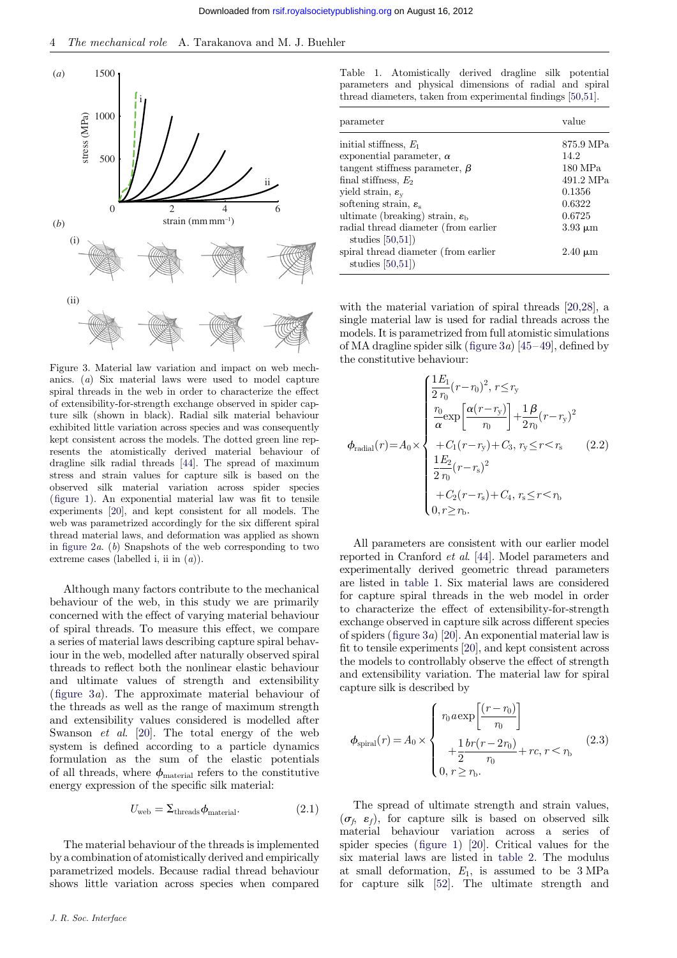<span id="page-3-0"></span>

Figure 3. Material law variation and impact on web mechanics. (a) Six material laws were used to model capture spiral threads in the web in order to characterize the effect of extensibility-for-strength exchange observed in spider capture silk (shown in black). Radial silk material behaviour exhibited little variation across species and was consequently kept consistent across the models. The dotted green line represents the atomistically derived material behaviour of dragline silk radial threads [[44\]](#page-8-0). The spread of maximum stress and strain values for capture silk is based on the observed silk material variation across spider species [\(figure 1\)](#page-1-0). An exponential material law was fit to tensile experiments [[20\]](#page-8-0), and kept consistent for all models. The web was parametrized accordingly for the six different spiral thread material laws, and deformation was applied as shown in [figure 2](#page-2-0)a. (b) Snapshots of the web corresponding to two extreme cases (labelled i, ii in  $(a)$ ).

Although many factors contribute to the mechanical behaviour of the web, in this study we are primarily concerned with the effect of varying material behaviour of spiral threads. To measure this effect, we compare a series of material laws describing capture spiral behaviour in the web, modelled after naturally observed spiral threads to reflect both the nonlinear elastic behaviour and ultimate values of strength and extensibility (figure 3a). The approximate material behaviour of the threads as well as the range of maximum strength and extensibility values considered is modelled after Swanson et al. [[20\]](#page-8-0). The total energy of the web system is defined according to a particle dynamics formulation as the sum of the elastic potentials of all threads, where  $\phi_{\text{material}}$  refers to the constitutive energy expression of the specific silk material:

$$
U_{\text{web}} = \Sigma_{\text{threads}} \phi_{\text{material}}.
$$
 (2.1)

The material behaviour of the threads is implemented by a combination of atomistically derived and empirically parametrized models. Because radial thread behaviour shows little variation across species when compared

Table 1. Atomistically derived dragline silk potential parameters and physical dimensions of radial and spiral thread diameters, taken from experimental findings [\[50,51](#page-8-0)].

| parameter                                                  | value        |
|------------------------------------------------------------|--------------|
| initial stiffness, $E_1$                                   | 875.9 MPa    |
| exponential parameter, $\alpha$                            | 14.2         |
| tangent stiffness parameter, $\beta$                       | $180$ MPa    |
| final stiffness, $E_2$                                     | 491.2 MPa    |
| yield strain, $\varepsilon_{v}$                            | 0.1356       |
| softening strain, $\varepsilon_{\rm s}$                    | 0.6322       |
| ultimate (breaking) strain, $\varepsilon_{\rm h}$          | 0.6725       |
| radial thread diameter (from earlier)<br>studies $[50,51]$ | $3.93 \mu m$ |
| spiral thread diameter (from earlier<br>studies $[50,51]$  | $2.40 \mu m$ |

with the material variation of spiral threads [[20,28](#page-8-0)], a single material law is used for radial threads across the models. It is parametrized from full atomistic simulations of MA dragline spider silk (figure  $3a$ ) [[45](#page-8-0)–[49\]](#page-8-0), defined by the constitutive behaviour:

$$
\phi_{\text{radial}}(r) = A_0 \times \begin{cases} \frac{1E_1}{2r_0}(r - r_0)^2, r \le r_{\text{y}}\\ \frac{r_0}{\alpha} \exp\left[\frac{\alpha(r - r_{\text{y}})}{r_0}\right] + \frac{1}{2r_0}(r - r_{\text{y}})^2\\ + C_1(r - r_{\text{y}}) + C_3, r_{\text{y}} \le r < r_{\text{s}}\\ \frac{1E_2}{2r_0}(r - r_{\text{s}})^2\\ + C_2(r - r_{\text{s}}) + C_4, r_{\text{s}} \le r < r_{\text{b}}\\ 0, r \ge r_{\text{b}}. \end{cases} \tag{2.2}
$$

All parameters are consistent with our earlier model reported in Cranford et al. [[44\]](#page-8-0). Model parameters and experimentally derived geometric thread parameters are listed in table 1. Six material laws are considered for capture spiral threads in the web model in order to characterize the effect of extensibility-for-strength exchange observed in capture silk across different species of spiders (figure 3a) [\[20](#page-8-0)]. An exponential material law is fit to tensile experiments [\[20](#page-8-0)], and kept consistent across the models to controllably observe the effect of strength and extensibility variation. The material law for spiral capture silk is described by

$$
\phi_{\text{spiral}}(r) = A_0 \times \begin{cases} r_0 a \exp\left[\frac{(r - r_0)}{r_0}\right] \\ + \frac{1}{2} \frac{br(r - 2r_0)}{r_0} + rc, r < r_0 \\ 0, r \ge r_0. \end{cases} \tag{2.3}
$$

The spread of ultimate strength and strain values,  $(\sigma_f, \varepsilon_f)$ , for capture silk is based on observed silk material behaviour variation across a series of spider species ([figure 1](#page-1-0)) [[20\]](#page-8-0). Critical values for the six material laws are listed in [table 2.](#page-4-0) The modulus at small deformation,  $E_1$ , is assumed to be 3 MPa for capture silk [[52\]](#page-8-0). The ultimate strength and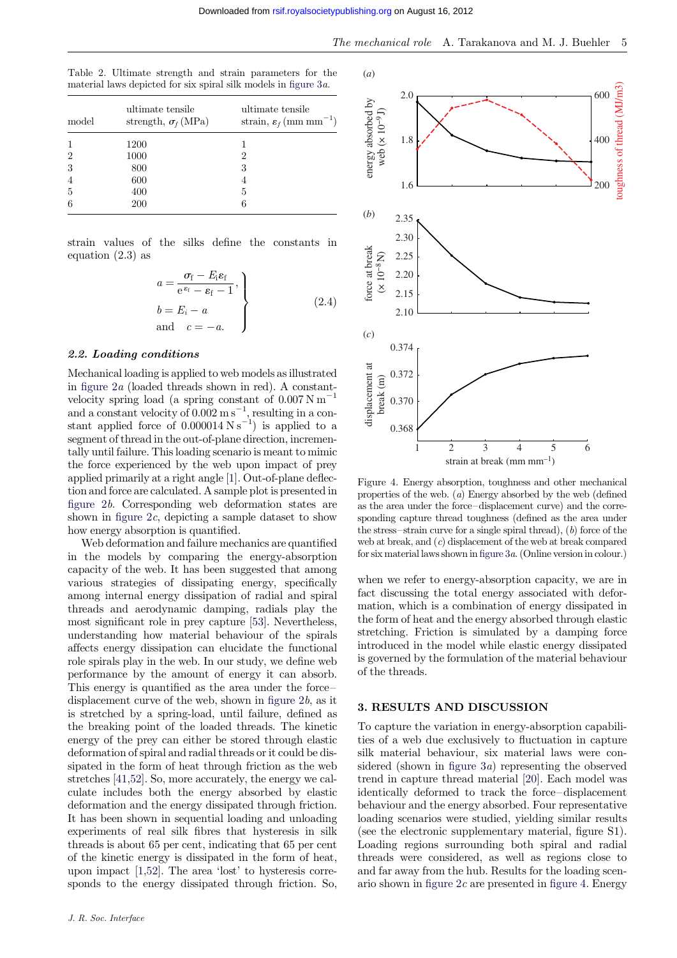<span id="page-4-0"></span>

| Table 2. Ultimate strength and strain parameters for the           |  |  |  |  |  |  |
|--------------------------------------------------------------------|--|--|--|--|--|--|
| material laws depicted for six spiral silk models in figure $3a$ . |  |  |  |  |  |  |

| model          | ultimate tensile<br>strength, $\sigma_f(MPa)$ | ultimate tensile<br>strain, $\varepsilon_f$ (mm mm <sup>-1</sup> ) |
|----------------|-----------------------------------------------|--------------------------------------------------------------------|
|                | 1200                                          |                                                                    |
| $\overline{2}$ | 1000                                          | 2                                                                  |
| 3              | 800                                           | 3                                                                  |
| 4              | 600                                           | 4                                                                  |
| 5              | 400                                           | 5                                                                  |
| 6              | 200                                           | 6                                                                  |

strain values of the silks define the constants in equation (2.3) as

$$
a = \frac{\sigma_{\rm f} - E_{\rm i}\varepsilon_{\rm f}}{e^{\varepsilon_{\rm f}} - \varepsilon_{\rm f} - 1},
$$
  
\n
$$
b = E_{\rm i} - a
$$
  
\nand 
$$
c = -a.
$$
 (2.4)

## 2.2. Loading conditions

Mechanical loading is applied to web models as illustrated in [figure 2](#page-2-0)a (loaded threads shown in red). A constantvelocity spring load (a spring constant of  $0.007 \text{ N m}^{-1}$ and a constant velocity of  $0.002 \text{ m s}^{-1}$ , resulting in a constant applied force of  $0.000014 N s^{-1}$  is applied to a segment of thread in the out-of-plane direction, incrementally until failure. This loading scenario is meant to mimic the force experienced by the web upon impact of prey applied primarily at a right angle [\[1](#page-7-0)]. Out-of-plane deflection and force are calculated. A sample plot is presented in [figure 2](#page-2-0)b. Corresponding web deformation states are shown in figure  $2c$ , depicting a sample dataset to show how energy absorption is quantified.

Web deformation and failure mechanics are quantified in the models by comparing the energy-absorption capacity of the web. It has been suggested that among various strategies of dissipating energy, specifically among internal energy dissipation of radial and spiral threads and aerodynamic damping, radials play the most significant role in prey capture [[53\]](#page-8-0). Nevertheless, understanding how material behaviour of the spirals affects energy dissipation can elucidate the functional role spirals play in the web. In our study, we define web performance by the amount of energy it can absorb. This energy is quantified as the area under the force– displacement curve of the web, shown in [figure 2](#page-2-0)b, as it is stretched by a spring-load, until failure, defined as the breaking point of the loaded threads. The kinetic energy of the prey can either be stored through elastic deformation of spiral and radial threads or it could be dissipated in the form of heat through friction as the web stretches [\[41,52](#page-8-0)]. So, more accurately, the energy we calculate includes both the energy absorbed by elastic deformation and the energy dissipated through friction. It has been shown in sequential loading and unloading experiments of real silk fibres that hysteresis in silk threads is about 65 per cent, indicating that 65 per cent of the kinetic energy is dissipated in the form of heat, upon impact [\[1](#page-7-0),[52\]](#page-8-0). The area 'lost' to hysteresis corresponds to the energy dissipated through friction. So,



Figure 4. Energy absorption, toughness and other mechanical properties of the web. (a) Energy absorbed by the web (defined as the area under the force–displacement curve) and the corresponding capture thread toughness (defined as the area under the stress–strain curve for a single spiral thread),  $(b)$  force of the web at break, and (c) displacement of the web at break compared for six material laws shown in [figure 3](#page-3-0)a. (Online version in colour.)

when we refer to energy-absorption capacity, we are in fact discussing the total energy associated with deformation, which is a combination of energy dissipated in the form of heat and the energy absorbed through elastic stretching. Friction is simulated by a damping force introduced in the model while elastic energy dissipated is governed by the formulation of the material behaviour of the threads.

## 3. RESULTS AND DISCUSSION

To capture the variation in energy-absorption capabilities of a web due exclusively to fluctuation in capture silk material behaviour, six material laws were considered (shown in [figure 3](#page-3-0)a) representing the observed trend in capture thread material [\[20](#page-8-0)]. Each model was identically deformed to track the force –displacement behaviour and the energy absorbed. Four representative loading scenarios were studied, yielding similar results (see the electronic supplementary material, figure S1). Loading regions surrounding both spiral and radial threads were considered, as well as regions close to and far away from the hub. Results for the loading scenario shown in figure  $2c$  are presented in figure 4. Energy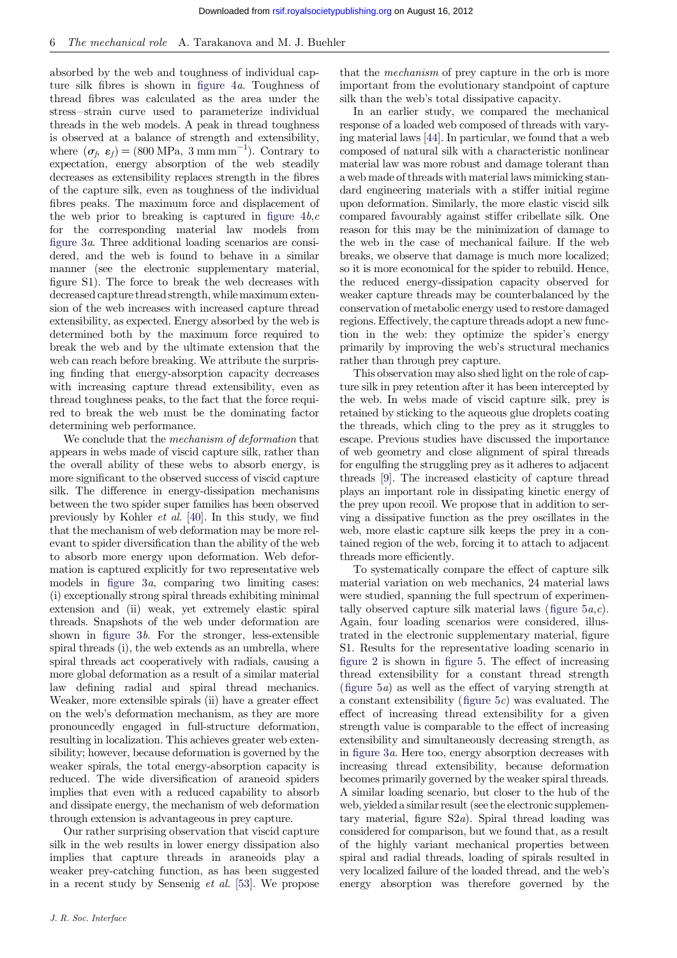absorbed by the web and toughness of individual capture silk fibres is shown in [figure 4](#page-4-0)a. Toughness of thread fibres was calculated as the area under the stress – strain curve used to parameterize individual threads in the web models. A peak in thread toughness is observed at a balance of strength and extensibility, where  $(\sigma_f, \varepsilon_f) = (800 \text{ MPa}, 3 \text{ mm mm}^{-1})$ . Contrary to expectation, energy absorption of the web steadily decreases as extensibility replaces strength in the fibres of the capture silk, even as toughness of the individual fibres peaks. The maximum force and displacement of the web prior to breaking is captured in figure  $4b$ ,  $c$ for the corresponding material law models from [figure 3](#page-3-0)a. Three additional loading scenarios are considered, and the web is found to behave in a similar manner (see the electronic supplementary material, figure S1). The force to break the web decreases with decreased capture thread strength, while maximum extension of the web increases with increased capture thread extensibility, as expected. Energy absorbed by the web is determined both by the maximum force required to break the web and by the ultimate extension that the web can reach before breaking. We attribute the surprising finding that energy-absorption capacity decreases with increasing capture thread extensibility, even as thread toughness peaks, to the fact that the force required to break the web must be the dominating factor determining web performance.

We conclude that the *mechanism of deformation* that appears in webs made of viscid capture silk, rather than the overall ability of these webs to absorb energy, is more significant to the observed success of viscid capture silk. The difference in energy-dissipation mechanisms between the two spider super families has been observed previously by Kohler et al. [[40\]](#page-8-0). In this study, we find that the mechanism of web deformation may be more relevant to spider diversification than the ability of the web to absorb more energy upon deformation. Web deformation is captured explicitly for two representative web models in [figure 3](#page-3-0)a, comparing two limiting cases: (i) exceptionally strong spiral threads exhibiting minimal extension and (ii) weak, yet extremely elastic spiral threads. Snapshots of the web under deformation are shown in [figure 3](#page-3-0)b. For the stronger, less-extensible spiral threads (i), the web extends as an umbrella, where spiral threads act cooperatively with radials, causing a more global deformation as a result of a similar material law defining radial and spiral thread mechanics. Weaker, more extensible spirals (ii) have a greater effect on the web's deformation mechanism, as they are more pronouncedly engaged in full-structure deformation, resulting in localization. This achieves greater web extensibility; however, because deformation is governed by the weaker spirals, the total energy-absorption capacity is reduced. The wide diversification of araneoid spiders implies that even with a reduced capability to absorb and dissipate energy, the mechanism of web deformation through extension is advantageous in prey capture.

Our rather surprising observation that viscid capture silk in the web results in lower energy dissipation also implies that capture threads in araneoids play a weaker prey-catching function, as has been suggested in a recent study by Sensenig et al. [[53\]](#page-8-0). We propose

that the mechanism of prey capture in the orb is more important from the evolutionary standpoint of capture silk than the web's total dissipative capacity.

In an earlier study, we compared the mechanical response of a loaded web composed of threads with varying material laws [\[44\]](#page-8-0). In particular, we found that a web composed of natural silk with a characteristic nonlinear material law was more robust and damage tolerant than a web made of threads with material laws mimicking standard engineering materials with a stiffer initial regime upon deformation. Similarly, the more elastic viscid silk compared favourably against stiffer cribellate silk. One reason for this may be the minimization of damage to the web in the case of mechanical failure. If the web breaks, we observe that damage is much more localized; so it is more economical for the spider to rebuild. Hence, the reduced energy-dissipation capacity observed for weaker capture threads may be counterbalanced by the conservation of metabolic energy used to restore damaged regions. Effectively, the capture threads adopt a new function in the web: they optimize the spider's energy primarily by improving the web's structural mechanics rather than through prey capture.

This observation may also shed light on the role of capture silk in prey retention after it has been intercepted by the web. In webs made of viscid capture silk, prey is retained by sticking to the aqueous glue droplets coating the threads, which cling to the prey as it struggles to escape. Previous studies have discussed the importance of web geometry and close alignment of spiral threads for engulfing the struggling prey as it adheres to adjacent threads [\[9](#page-7-0)]. The increased elasticity of capture thread plays an important role in dissipating kinetic energy of the prey upon recoil. We propose that in addition to serving a dissipative function as the prey oscillates in the web, more elastic capture silk keeps the prey in a contained region of the web, forcing it to attach to adjacent threads more efficiently.

To systematically compare the effect of capture silk material variation on web mechanics, 24 material laws were studied, spanning the full spectrum of experimentally observed capture silk material laws (figure  $5a,c$ ). Again, four loading scenarios were considered, illustrated in the electronic supplementary material, figure S1. Results for the representative loading scenario in [figure 2](#page-2-0) is shown in [figure 5.](#page-6-0) The effect of increasing thread extensibility for a constant thread strength ([figure 5](#page-6-0)a) as well as the effect of varying strength at a constant extensibility ([figure 5](#page-6-0)c) was evaluated. The effect of increasing thread extensibility for a given strength value is comparable to the effect of increasing extensibility and simultaneously decreasing strength, as in [figure 3](#page-3-0)a. Here too, energy absorption decreases with increasing thread extensibility, because deformation becomes primarily governed by the weaker spiral threads. A similar loading scenario, but closer to the hub of the web, yielded a similar result (see the electronic supplementary material, figure  $S2a$ ). Spiral thread loading was considered for comparison, but we found that, as a result of the highly variant mechanical properties between spiral and radial threads, loading of spirals resulted in very localized failure of the loaded thread, and the web's energy absorption was therefore governed by the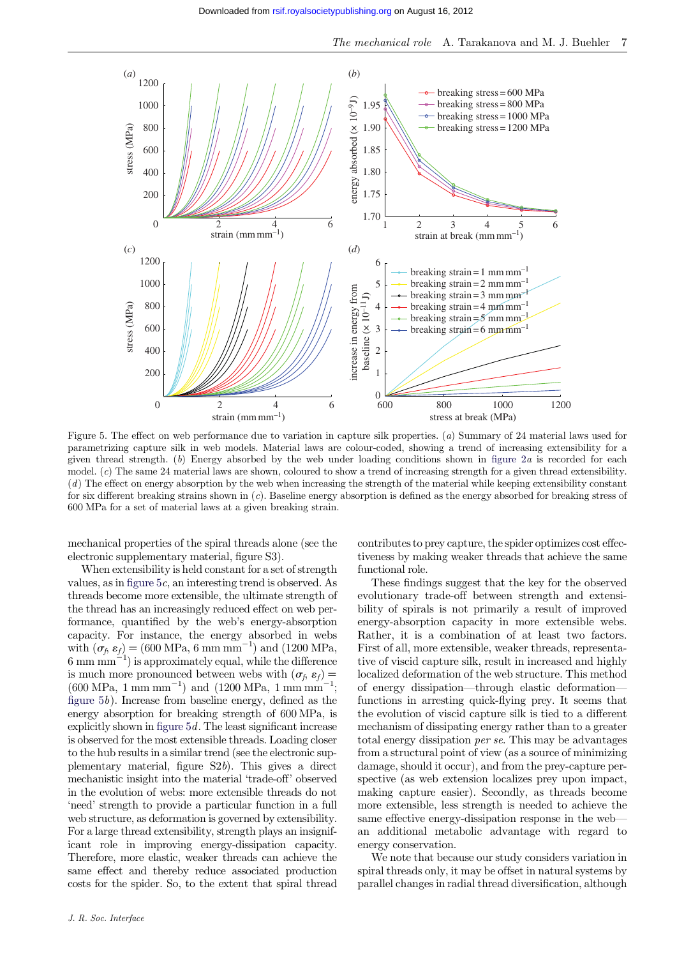<span id="page-6-0"></span>

Figure 5. The effect on web performance due to variation in capture silk properties. (a) Summary of 24 material laws used for parametrizing capture silk in web models. Material laws are colour-coded, showing a trend of increasing extensibility for a given thread strength. (b) Energy absorbed by the web under loading conditions shown in figure  $2a$  is recorded for each model. (c) The same 24 material laws are shown, coloured to show a trend of increasing strength for a given thread extensibility. (d) The effect on energy absorption by the web when increasing the strength of the material while keeping extensibility constant for six different breaking strains shown in (c). Baseline energy absorption is defined as the energy absorbed for breaking stress of 600 MPa for a set of material laws at a given breaking strain.

mechanical properties of the spiral threads alone (see the electronic supplementary material, figure S3).

When extensibility is held constant for a set of strength values, as in figure 5c, an interesting trend is observed. As threads become more extensible, the ultimate strength of the thread has an increasingly reduced effect on web performance, quantified by the web's energy-absorption capacity. For instance, the energy absorbed in webs with  $(\sigma_f, \varepsilon_f) = (600 \text{ MPa}, 6 \text{ mm mm}^{-1})$  and  $(1200 \text{ MPa},$ 6 mm  $\text{mm}^{-1}$ ) is approximately equal, while the difference is much more pronounced between webs with  $(\sigma_f, \varepsilon_f)$  =  $(600 \text{ MPa}, 1 \text{ mm mm}^{-1})$  and  $(1200 \text{ MPa}, 1 \text{ mm mm}^{-1})$ ; figure  $5b$ ). Increase from baseline energy, defined as the energy absorption for breaking strength of 600 MPa, is explicitly shown in figure  $5d$ . The least significant increase is observed for the most extensible threads. Loading closer to the hub results in a similar trend (see the electronic supplementary material, figure S2b). This gives a direct mechanistic insight into the material 'trade-off' observed in the evolution of webs: more extensible threads do not 'need' strength to provide a particular function in a full web structure, as deformation is governed by extensibility. For a large thread extensibility, strength plays an insignificant role in improving energy-dissipation capacity. Therefore, more elastic, weaker threads can achieve the same effect and thereby reduce associated production costs for the spider. So, to the extent that spiral thread contributes to prey capture, the spider optimizes cost effectiveness by making weaker threads that achieve the same functional role.

These findings suggest that the key for the observed evolutionary trade-off between strength and extensibility of spirals is not primarily a result of improved energy-absorption capacity in more extensible webs. Rather, it is a combination of at least two factors. First of all, more extensible, weaker threads, representative of viscid capture silk, result in increased and highly localized deformation of the web structure. This method of energy dissipation—through elastic deformation functions in arresting quick-flying prey. It seems that the evolution of viscid capture silk is tied to a different mechanism of dissipating energy rather than to a greater total energy dissipation per se. This may be advantages from a structural point of view (as a source of minimizing damage, should it occur), and from the prey-capture perspective (as web extension localizes prey upon impact, making capture easier). Secondly, as threads become more extensible, less strength is needed to achieve the same effective energy-dissipation response in the web an additional metabolic advantage with regard to energy conservation.

We note that because our study considers variation in spiral threads only, it may be offset in natural systems by parallel changes in radial thread diversification, although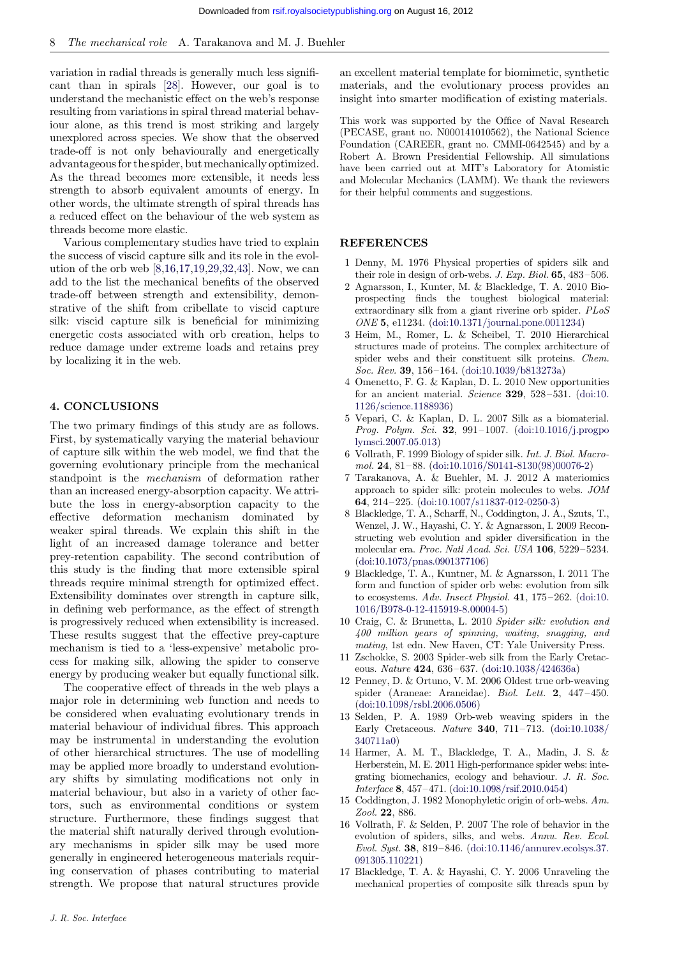<span id="page-7-0"></span>variation in radial threads is generally much less significant than in spirals [\[28](#page-8-0)]. However, our goal is to understand the mechanistic effect on the web's response resulting from variations in spiral thread material behaviour alone, as this trend is most striking and largely unexplored across species. We show that the observed trade-off is not only behaviourally and energetically advantageous for the spider, but mechanically optimized. As the thread becomes more extensible, it needs less strength to absorb equivalent amounts of energy. In other words, the ultimate strength of spiral threads has a reduced effect on the behaviour of the web system as threads become more elastic.

Various complementary studies have tried to explain the success of viscid capture silk and its role in the evolution of the orb web [8,16,17[,19](#page-8-0),[29,32,43](#page-8-0)]. Now, we can add to the list the mechanical benefits of the observed trade-off between strength and extensibility, demonstrative of the shift from cribellate to viscid capture silk: viscid capture silk is beneficial for minimizing energetic costs associated with orb creation, helps to reduce damage under extreme loads and retains prey by localizing it in the web.

## 4. CONCLUSIONS

The two primary findings of this study are as follows. First, by systematically varying the material behaviour of capture silk within the web model, we find that the governing evolutionary principle from the mechanical standpoint is the mechanism of deformation rather than an increased energy-absorption capacity. We attribute the loss in energy-absorption capacity to the effective deformation mechanism dominated by weaker spiral threads. We explain this shift in the light of an increased damage tolerance and better prey-retention capability. The second contribution of this study is the finding that more extensible spiral threads require minimal strength for optimized effect. Extensibility dominates over strength in capture silk, in defining web performance, as the effect of strength is progressively reduced when extensibility is increased. These results suggest that the effective prey-capture mechanism is tied to a 'less-expensive' metabolic process for making silk, allowing the spider to conserve energy by producing weaker but equally functional silk.

The cooperative effect of threads in the web plays a major role in determining web function and needs to be considered when evaluating evolutionary trends in material behaviour of individual fibres. This approach may be instrumental in understanding the evolution of other hierarchical structures. The use of modelling may be applied more broadly to understand evolutionary shifts by simulating modifications not only in material behaviour, but also in a variety of other factors, such as environmental conditions or system structure. Furthermore, these findings suggest that the material shift naturally derived through evolutionary mechanisms in spider silk may be used more generally in engineered heterogeneous materials requiring conservation of phases contributing to material strength. We propose that natural structures provide

This work was supported by the Office of Naval Research (PECASE, grant no. N000141010562), the National Science Foundation (CAREER, grant no. CMMI-0642545) and by a Robert A. Brown Presidential Fellowship. All simulations have been carried out at MIT's Laboratory for Atomistic and Molecular Mechanics (LAMM). We thank the reviewers for their helpful comments and suggestions.

#### **REFERENCES**

- 1 Denny, M. 1976 Physical properties of spiders silk and their role in design of orb-webs. J. Exp. Biol.  $65, 483-506$ .
- 2 Agnarsson, I., Kunter, M. & Blackledge, T. A. 2010 Bioprospecting finds the toughest biological material: extraordinary silk from a giant riverine orb spider. PLoS ONE 5, e11234. (doi:10.1371/[journal.pone.0011234](http://dx.doi.org/10.1371/journal.pone.0011234))
- 3 Heim, M., Romer, L. & Scheibel, T. 2010 Hierarchical structures made of proteins. The complex architecture of spider webs and their constituent silk proteins. *Chem.* Soc. Rev. 39, 156-164. [\(doi:10.1039](http://dx.doi.org/10.1039/b813273a)/b813273a)
- 4 Omenetto, F. G. & Kaplan, D. L. 2010 New opportunities for an ancient material. Science 329, 528-531. ([doi:10.](http://dx.doi.org/10.1126/science.1188936) 1126/[science.1188936](http://dx.doi.org/10.1126/science.1188936))
- 5 Vepari, C. & Kaplan, D. L. 2007 Silk as a biomaterial. Prog. Polym. Sci. 32, 991-1007. ([doi:10.1016](http://dx.doi.org/10.1016/j.progpolymsci.2007.05.013)/j.progpo [lymsci.2007.05.013](http://dx.doi.org/10.1016/j.progpolymsci.2007.05.013))
- 6 Vollrath, F. 1999 Biology of spider silk. Int. J. Biol. Macromol. 24, 81 –88. (doi:10.1016/[S0141-8130\(98\)00076-2\)](http://dx.doi.org/10.1016/S0141-8130(98)00076-2)
- 7 Tarakanova, A. & Buehler, M. J. 2012 A materiomics approach to spider silk: protein molecules to webs. JOM 64, 214 –225. (doi:10.1007/[s11837-012-0250-3](http://dx.doi.org/10.1007/s11837-012-0250-3))
- 8 Blackledge, T. A., Scharff, N., Coddington, J. A., Szuts, T., Wenzel, J. W., Hayashi, C. Y. & Agnarsson, I. 2009 Reconstructing web evolution and spider diversification in the molecular era. Proc. Natl Acad. Sci. USA 106, 5229–5234. (doi:10.1073/[pnas.0901377106\)](http://dx.doi.org/10.1073/pnas.0901377106)
- 9 Blackledge, T. A., Kuntner, M. & Agnarsson, I. 2011 The form and function of spider orb webs: evolution from silk to ecosystems. Adv. Insect Physiol.  $41$ , 175-262. ([doi:10.](http://dx.doi.org/10.1016/B978-0-12-415919-8.00004-5) 1016/[B978-0-12-415919-8.00004-5](http://dx.doi.org/10.1016/B978-0-12-415919-8.00004-5))
- 10 Craig, C. & Brunetta, L. 2010 Spider silk: evolution and 400 million years of spinning, waiting, snagging, and mating, 1st edn. New Haven, CT: Yale University Press.
- 11 Zschokke, S. 2003 Spider-web silk from the Early Cretaceous. Nature 424, 636 –637. [\(doi:10.1038](http://dx.doi.org/10.1038/424636a)/424636a)
- 12 Penney, D. & Ortuno, V. M. 2006 Oldest true orb-weaving spider (Araneae: Araneidae). Biol. Lett. 2, 447 –450. (doi:10.1098/[rsbl.2006.0506](http://dx.doi.org/10.1098/rsbl.2006.0506))
- 13 Selden, P. A. 1989 Orb-web weaving spiders in the Early Cretaceous. Nature 340, 711– 713. ([doi:10.1038](http://dx.doi.org/10.1038/340711a0)/ [340711a0](http://dx.doi.org/10.1038/340711a0))
- 14 Harmer, A. M. T., Blackledge, T. A., Madin, J. S. & Herberstein, M. E. 2011 High-performance spider webs: integrating biomechanics, ecology and behaviour. J. R. Soc. Interface 8, 457–471. (doi:10.1098/[rsif.2010.0454](http://dx.doi.org/10.1098/rsif.2010.0454))
- 15 Coddington, J. 1982 Monophyletic origin of orb-webs. Am. Zool. 22, 886.
- 16 Vollrath, F. & Selden, P. 2007 The role of behavior in the evolution of spiders, silks, and webs. Annu. Rev. Ecol. Evol. Syst. 38, 819 –846. (doi:10.1146/[annurev.ecolsys.37.](http://dx.doi.org/10.1146/annurev.ecolsys.37.091305.110221) [091305.110221\)](http://dx.doi.org/10.1146/annurev.ecolsys.37.091305.110221)
- 17 Blackledge, T. A. & Hayashi, C. Y. 2006 Unraveling the mechanical properties of composite silk threads spun by